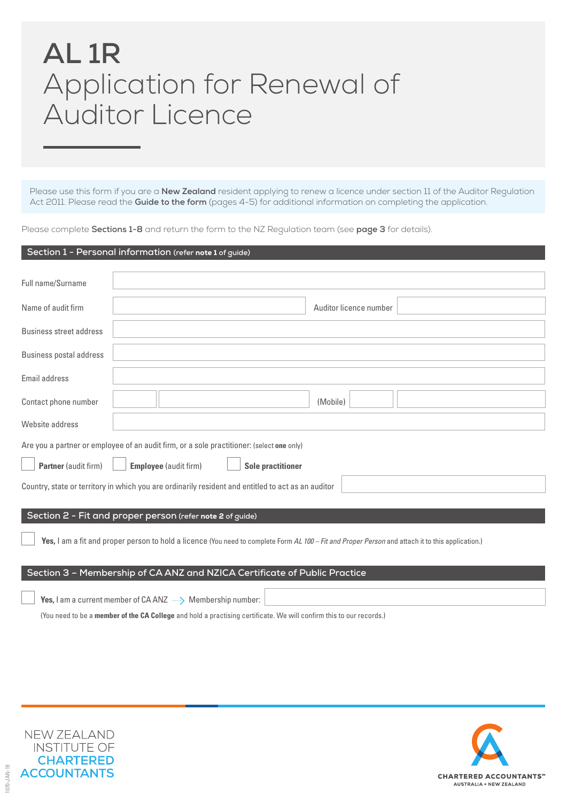# **AL 1R** Application for Renewal of Auditor Licence

Please use this form if you are a **New Zealand** resident applying to renew a licence under section 11 of the Auditor Regulation Act 2011. Please read the **Guide to the form** (pages 4-5) for additional information on completing the application.

Please complete **Sections 1-8** and return the form to the NZ Regulation team (see **page 3** for details).

#### **Section 1 - Personal information (refer** note 1 **of guide)**

| Full name/Surname                                                                                  |                                                                                                                                                   |  |  |
|----------------------------------------------------------------------------------------------------|---------------------------------------------------------------------------------------------------------------------------------------------------|--|--|
| Name of audit firm                                                                                 | Auditor licence number                                                                                                                            |  |  |
| Business street address                                                                            |                                                                                                                                                   |  |  |
| <b>Business postal address</b>                                                                     |                                                                                                                                                   |  |  |
| Email address                                                                                      |                                                                                                                                                   |  |  |
| Contact phone number                                                                               | (Mobile)                                                                                                                                          |  |  |
| Website address                                                                                    |                                                                                                                                                   |  |  |
|                                                                                                    | Are you a partner or employee of an audit firm, or a sole practitioner: (select one only)                                                         |  |  |
| <b>Partner</b> (audit firm)                                                                        | <b>Employee</b> (audit firm)<br><b>Sole practitioner</b>                                                                                          |  |  |
| Country, state or territory in which you are ordinarily resident and entitled to act as an auditor |                                                                                                                                                   |  |  |
|                                                                                                    | Section 2 - Fit and proper person (refer note 2 of guide)                                                                                         |  |  |
|                                                                                                    |                                                                                                                                                   |  |  |
|                                                                                                    | Yes, I am a fit and proper person to hold a licence (You need to complete Form AL 100 - Fit and Proper Person and attach it to this application.) |  |  |

#### **Section 3 – Membership of CA ANZ and NZICA Certificate of Public Practice**

| $\forall$ Yes, I am a current member of CA ANZ $\longrightarrow$ Membership number: $\mid$                          |  |
|---------------------------------------------------------------------------------------------------------------------|--|
| (You need to be a member of the CA College and hold a practising certificate. We will confirm this to our records.) |  |



1070-JAN-19

 $070 - JAN - 19$ 

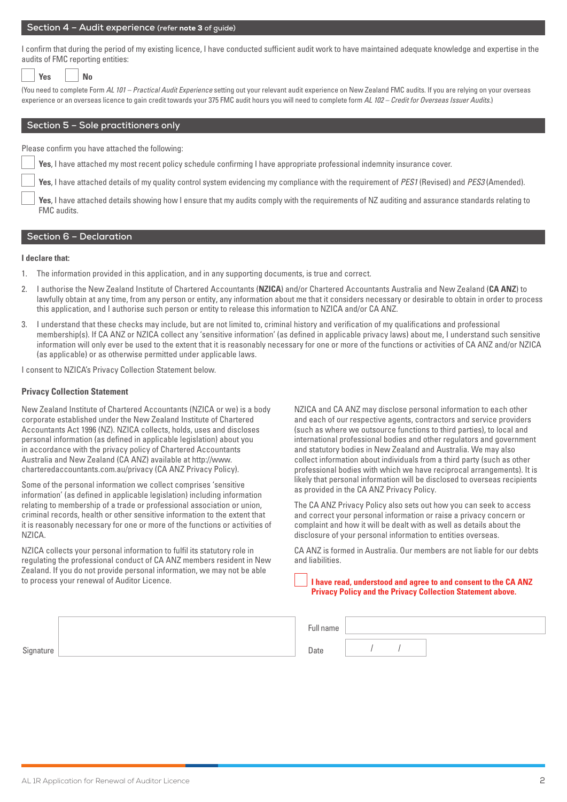#### **Section 4 – Audit experience (refer** note 3 **of guide)**

I confirm that during the period of my existing licence, I have conducted sufficient audit work to have maintained adequate knowledge and expertise in the audits of FMC reporting entities:

| VAC | N٥ |
|-----|----|
|     |    |

(You need to complete Form *AL 101 – Practical Audit Experience* setting out your relevant audit experience on New Zealand FMC audits. If you are relying on your overseas experience or an overseas licence to gain credit towards your 375 FMC audit hours you will need to complete form *AL 102 – Credit for Overseas Issuer Audits*.)

#### **Section 5 – Sole practitioners only**

Please confirm you have attached the following:

**Yes**, I have attached my most recent policy schedule confirming I have appropriate professional indemnity insurance cover.

**Yes**, I have attached details of my quality control system evidencing my compliance with the requirement of *PES1* (Revised) and *PES3* (Amended).

**Yes**, I have attached details showing how I ensure that my audits comply with the requirements of NZ auditing and assurance standards relating to FMC audits.

#### **Section 6 – Declaration**

#### **I declare that:**

- 1. The information provided in this application, and in any supporting documents, is true and correct.
- 2. I authorise the New Zealand Institute of Chartered Accountants (**NZICA**) and/or Chartered Accountants Australia and New Zealand (**CA ANZ**) to lawfully obtain at any time, from any person or entity, any information about me that it considers necessary or desirable to obtain in order to process this application, and I authorise such person or entity to release this information to NZICA and/or CA ANZ.
- 3. I understand that these checks may include, but are not limited to, criminal history and verification of my qualifications and professional membership(s). If CA ANZ or NZICA collect any 'sensitive information' (as defined in applicable privacy laws) about me, I understand such sensitive information will only ever be used to the extent that it is reasonably necessary for one or more of the functions or activities of CA ANZ and/or NZICA (as applicable) or as otherwise permitted under applicable laws.

I consent to NZICA's Privacy Collection Statement below.

#### **Privacy Collection Statement**

New Zealand Institute of Chartered Accountants (NZICA or we) is a body corporate established under the New Zealand Institute of Chartered Accountants Act 1996 (NZ). NZICA collects, holds, uses and discloses personal information (as defined in applicable legislation) about you in accordance with the privacy policy of Chartered Accountants Australia and New Zealand (CA ANZ) available at http://www. charteredaccountants.com.au/privacy (CA ANZ Privacy Policy).

Some of the personal information we collect comprises 'sensitive information' (as defined in applicable legislation) including information relating to membership of a trade or professional association or union, criminal records, health or other sensitive information to the extent that it is reasonably necessary for one or more of the functions or activities of NZICA.

NZICA collects your personal information to fulfil its statutory role in regulating the professional conduct of CA ANZ members resident in New Zealand. If you do not provide personal information, we may not be able to process your renewal of Auditor Licence.

NZICA and CA ANZ may disclose personal information to each other and each of our respective agents, contractors and service providers (such as where we outsource functions to third parties), to local and international professional bodies and other regulators and government and statutory bodies in New Zealand and Australia. We may also collect information about individuals from a third party (such as other professional bodies with which we have reciprocal arrangements). It is likely that personal information will be disclosed to overseas recipients as provided in the CA ANZ Privacy Policy.

The CA ANZ Privacy Policy also sets out how you can seek to access and correct your personal information or raise a privacy concern or complaint and how it will be dealt with as well as details about the disclosure of your personal information to entities overseas.

CA ANZ is formed in Australia. Our members are not liable for our debts and liabilities.

**I have read, understood and agree to and consent to the CA ANZ Privacy Policy and the Privacy Collection Statement above.**

|           | Full name |  |  |
|-----------|-----------|--|--|
| Signature | Date      |  |  |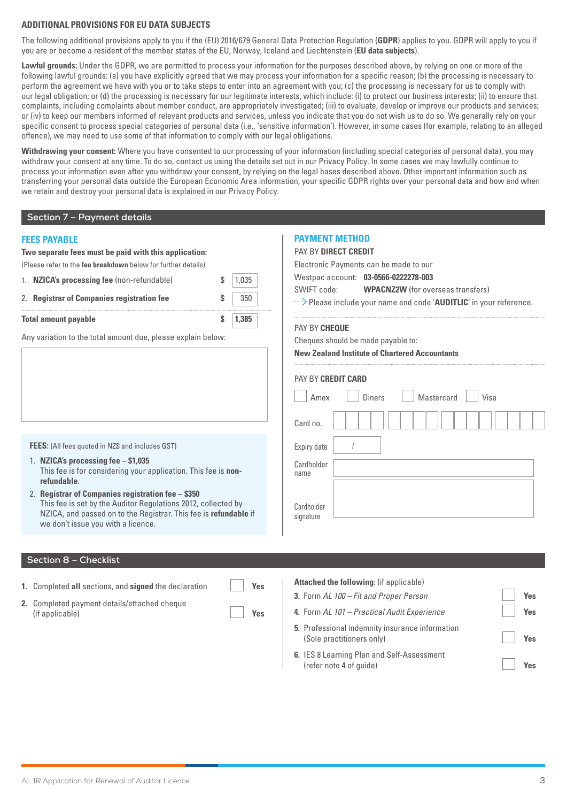#### **ADDITIONAL PROVISIONS FOR EU DATA SUBJECTS**

The following additional provisions apply to you if the (EU) 2016/679 General Data Protection Regulation (**GDPR**) applies to you. GDPR will apply to you if you are or become a resident of the member states of the EU, Norway, Iceland and Liechtenstein (**EU data subjects**).

**Lawful grounds:** Under the GDPR, we are permitted to process your information for the purposes described above, by relying on one or more of the following lawful grounds: (a) you have explicitly agreed that we may process your information for a specific reason; (b) the processing is necessary to perform the agreement we have with you or to take steps to enter into an agreement with you; (c) the processing is necessary for us to comply with our legal obligation; or (d) the processing is necessary for our legitimate interests, which include: (i) to protect our business interests; (ii) to ensure that complaints, including complaints about member conduct, are appropriately investigated; (iii) to evaluate, develop or improve our products and services; or (iv) to keep our members informed of relevant products and services, unless you indicate that you do not wish us to do so. We generally rely on your specific consent to process special categories of personal data (i.e., 'sensitive information'). However, in some cases (for example, relating to an alleged offence), we may need to use some of that information to comply with our legal obligations.

**Withdrawing your consent:** Where you have consented to our processing of your information (including special categories of personal data), you may withdraw your consent at any time. To do so, contact us using the details set out in our Privacy Policy. In some cases we may lawfully continue to process your information even after you withdraw your consent, by relying on the legal bases described above. Other important information such as transferring your personal data outside the European Economic Area information, your specific GDPR rights over your personal data and how and when we retain and destroy your personal data is explained in our Privacy Policy.

#### **Section 7 – Payment details**

| <b>FEES PAYABLE</b>                                                                                                                                                                                                           |             | <b>PAYMENT METHOD</b>                                                                                                      |  |  |
|-------------------------------------------------------------------------------------------------------------------------------------------------------------------------------------------------------------------------------|-------------|----------------------------------------------------------------------------------------------------------------------------|--|--|
| Two separate fees must be paid with this application:                                                                                                                                                                         |             | <b>PAY BY DIRECT CREDIT</b>                                                                                                |  |  |
| (Please refer to the fee breakdown below for further details)                                                                                                                                                                 |             | Electronic Payments can be made to our                                                                                     |  |  |
| 1. NZICA's processing fee (non-refundable)<br>\$<br>1,035                                                                                                                                                                     |             | Westpac account: 03-0566-0222278-003                                                                                       |  |  |
| 2. Registrar of Companies registration fee                                                                                                                                                                                    | \$<br>350   | SWIFT code:<br><b>WPACNZ2W</b> (for overseas transfers)<br>Please include your name and code 'AUDITLIC' in your reference. |  |  |
| <b>Total amount payable</b>                                                                                                                                                                                                   | \$<br>1,385 | PAY BY CHEQUE                                                                                                              |  |  |
| Any variation to the total amount due, please explain below:                                                                                                                                                                  |             | Cheques should be made payable to:<br><b>New Zealand Institute of Chartered Accountants</b>                                |  |  |
|                                                                                                                                                                                                                               |             | <b>PAY BY CREDIT CARD</b><br><b>Diners</b><br>Mastercard<br>Visa<br>Amex<br>Card no.                                       |  |  |
| FEES: (All fees quoted in NZ\$ and includes GST)                                                                                                                                                                              |             | Expiry date                                                                                                                |  |  |
| 1. NZICA's processing fee $-$ \$1,035<br>This fee is for considering your application. This fee is non-<br>refundable.                                                                                                        |             | Cardholder<br>name                                                                                                         |  |  |
| 2. Registrar of Companies registration fee - \$350<br>This fee is set by the Auditor Regulations 2012, collected by<br>NZICA, and passed on to the Registrar. This fee is refundable if<br>we don't issue you with a licence. |             | Cardholder<br>signature                                                                                                    |  |  |
|                                                                                                                                                                                                                               |             |                                                                                                                            |  |  |
| Section 8 - Checklist                                                                                                                                                                                                         |             |                                                                                                                            |  |  |

- **1.** Completed **all** sections, and **signed** the declaration **Yes**
- **2.** Completed payment details/attached cheque (if applicable) **Yes**

| <b>Attached the following: (if applicable)</b>                               |     |
|------------------------------------------------------------------------------|-----|
| 3. Form AL 100 – Fit and Proper Person                                       | Yes |
| 4. Form AL 101 - Practical Audit Experience                                  | Yes |
| 5. Professional indemnity insurance information<br>(Sole practitioners only) | Ves |
| 6. IES 8 Learning Plan and Self-Assessment<br>(refer note 4 of quide)        |     |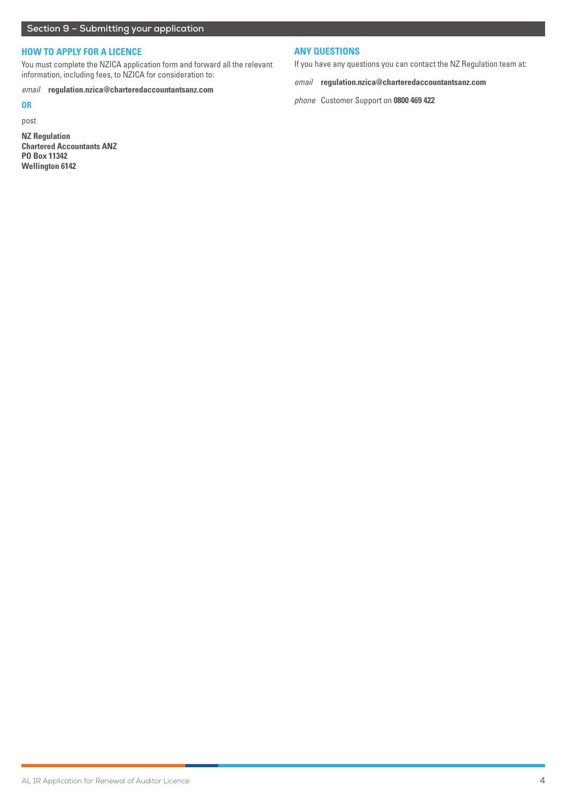### **HOW TO APPLY FOR A LICENCE**

You must complete the NZICA application form and forward all the relevant information, including fees, to NZICA for consideration to:

*email* **regulation.nzica@charteredaccountantsanz.com**

#### **OR**

post

**NZ Regulation Chartered Accountants ANZ PO Box 11342 Wellington 6142**

#### **ANY QUESTIONS**

If you have any questions you can contact the NZ Regulation team at:

*email* **regulation.nzica@charteredaccountantsanz.com**

*phone* Customer Support on **0800 469 422**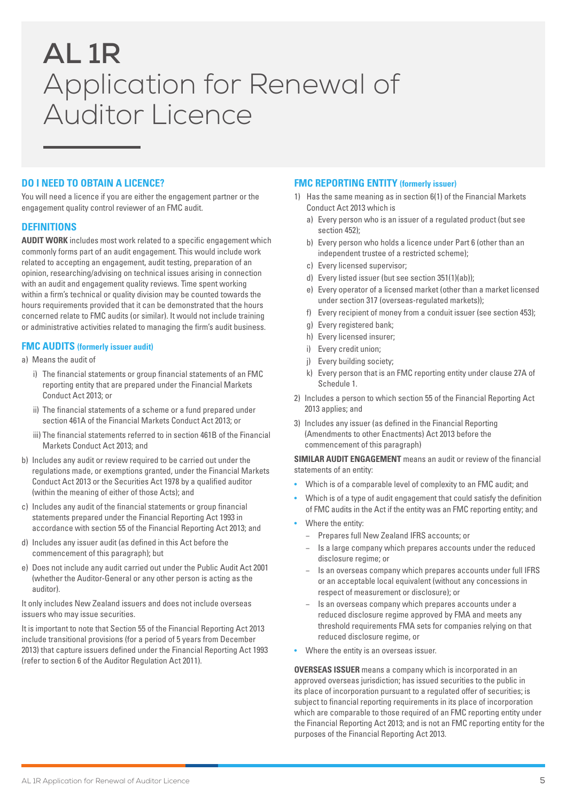# **AL 1R** Application for Renewal of Auditor Licence

# **DO I NEED TO OBTAIN A LICENCE?**

You will need a licence if you are either the engagement partner or the engagement quality control reviewer of an FMC audit.

#### **DEFINITIONS**

**AUDIT WORK** includes most work related to a specific engagement which commonly forms part of an audit engagement. This would include work related to accepting an engagement, audit testing, preparation of an opinion, researching/advising on technical issues arising in connection with an audit and engagement quality reviews. Time spent working within a firm's technical or quality division may be counted towards the hours requirements provided that it can be demonstrated that the hours concerned relate to FMC audits (or similar). It would not include training or administrative activities related to managing the firm's audit business.

### **FMC AUDITS (formerly issuer audit)**

a) Means the audit of

- i) The financial statements or group financial statements of an FMC reporting entity that are prepared under the Financial Markets Conduct Act 2013; or
- ii) The financial statements of a scheme or a fund prepared under section 461A of the Financial Markets Conduct Act 2013; or
- iii) The financial statements referred to in section 461B of the Financial Markets Conduct Act 2013; and
- b) Includes any audit or review required to be carried out under the regulations made, or exemptions granted, under the Financial Markets Conduct Act 2013 or the Securities Act 1978 by a qualified auditor (within the meaning of either of those Acts); and
- c) Includes any audit of the financial statements or group financial statements prepared under the Financial Reporting Act 1993 in accordance with section 55 of the Financial Reporting Act 2013; and
- d) Includes any issuer audit (as defined in this Act before the commencement of this paragraph); but
- e) Does not include any audit carried out under the Public Audit Act 2001 (whether the Auditor-General or any other person is acting as the auditor).

It only includes New Zealand issuers and does not include overseas issuers who may issue securities.

It is important to note that Section 55 of the Financial Reporting Act 2013 include transitional provisions (for a period of 5 years from December 2013) that capture issuers defined under the Financial Reporting Act 1993 (refer to section 6 of the Auditor Regulation Act 2011).

#### **FMC REPORTING ENTITY (formerly issuer)**

- 1) Has the same meaning as in section 6(1) of the Financial Markets Conduct Act 2013 which is
	- a) Every person who is an issuer of a regulated product (but see section 452);
	- b) Every person who holds a licence under Part 6 (other than an independent trustee of a restricted scheme);
	- c) Every licensed supervisor;
	- d) Every listed issuer (but see section 351(1)(ab));
	- e) Every operator of a licensed market (other than a market licensed under section 317 (overseas-regulated markets));
	- f) Every recipient of money from a conduit issuer (see section 453);
	- g) Every registered bank;
	- h) Every licensed insurer;
	- i) Every credit union;
	- i) Every building society:
	- k) Every person that is an FMC reporting entity under clause 27A of Schedule 1.
- 2) Includes a person to which section 55 of the Financial Reporting Act 2013 applies; and
- 3) Includes any issuer (as defined in the Financial Reporting (Amendments to other Enactments) Act 2013 before the commencement of this paragraph)

**SIMILAR AUDIT ENGAGEMENT** means an audit or review of the financial statements of an entity:

- Which is of a comparable level of complexity to an FMC audit; and
- Which is of a type of audit engagement that could satisfy the definition of FMC audits in the Act if the entity was an FMC reporting entity; and
- Where the entity:
	- − Prepares full New Zealand IFRS accounts; or
	- − Is a large company which prepares accounts under the reduced disclosure regime; or
	- Is an overseas company which prepares accounts under full IFRS or an acceptable local equivalent (without any concessions in respect of measurement or disclosure); or
	- − Is an overseas company which prepares accounts under a reduced disclosure regime approved by FMA and meets any threshold requirements FMA sets for companies relying on that reduced disclosure regime, or
- Where the entity is an overseas issuer.

**OVERSEAS ISSUER** means a company which is incorporated in an approved overseas jurisdiction; has issued securities to the public in its place of incorporation pursuant to a regulated offer of securities; is subject to financial reporting requirements in its place of incorporation which are comparable to those required of an FMC reporting entity under the Financial Reporting Act 2013; and is not an FMC reporting entity for the purposes of the Financial Reporting Act 2013.